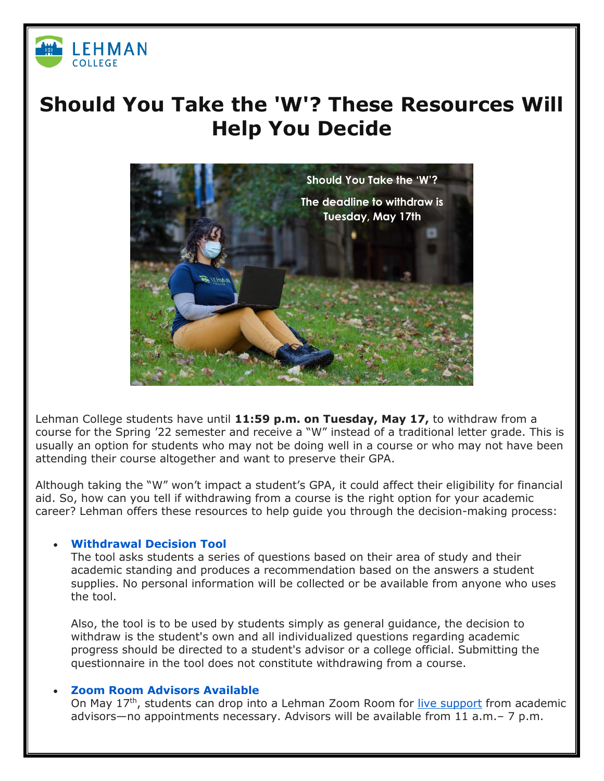

## **Should You Take the 'W'? These Resources Will Help You Decide**



Lehman College students have until **11:59 p.m. on Tuesday, May 17,** to withdraw from a course for the Spring '22 semester and receive a "W" instead of a traditional letter grade. This is usually an option for students who may not be doing well in a course or who may not have been attending their course altogether and want to preserve their GPA.

Although taking the "W" won't impact a student's GPA, it could affect their eligibility for financial aid. So, how can you tell if withdrawing from a course is the right option for your academic career? Lehman offers these resources to help guide you through the decision-making process:

## • **[Withdrawal Decision Tool](https://forms.office.com/r/LSQyMUEhjY)**

The tool asks students a series of questions based on their area of study and their academic standing and produces a recommendation based on the answers a student supplies. No personal information will be collected or be available from anyone who uses the tool.

Also, the tool is to be used by students simply as general guidance, the decision to withdraw is the student's own and all individualized questions regarding academic progress should be directed to a student's advisor or a college official. Submitting the questionnaire in the tool does not constitute withdrawing from a course.

## • **[Zoom Room Advisors Available](https://bit.ly/3G15N0S)**

On May 17<sup>th</sup>, students can drop into a Lehman Zoom Room for [live support](https://lehman-cuny-edu.zoom.us/meeting/register/tZIvcO-przwqGtPiXJ2RyEol8qNrZknbXvcJ) from academic advisors—no appointments necessary. Advisors will be available from 11 a.m.– 7 p.m.